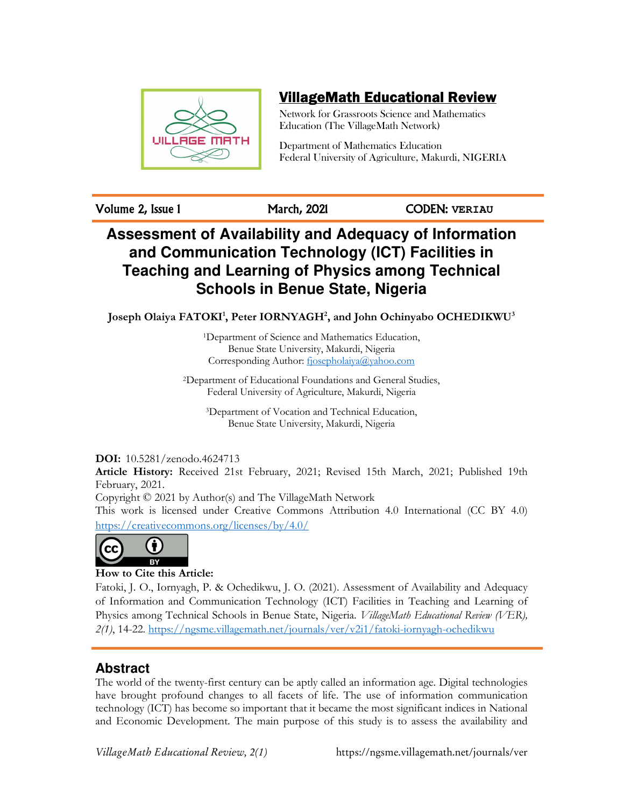

# VillageMath Educational Review

Network for Grassroots Science and Mathematics Education (The VillageMath Network)

Department of Mathematics Education Federal University of Agriculture, Makurdi, NIGERIA

Volume 2, Issue 1 March, 2021 CODEN: **VERIAU**

# **Assessment of Availability and Adequacy of Information and Communication Technology (ICT) Facilities in Teaching and Learning of Physics among Technical Schools in Benue State, Nigeria**

**Joseph Olaiya FATOKI<sup>1</sup> , Peter IORNYAGH<sup>2</sup> , and John Ochinyabo OCHEDIKWU<sup>3</sup>**

<sup>1</sup>Department of Science and Mathematics Education, Benue State University, Makurdi, Nigeria Corresponding Author: fjosepholaiya@yahoo.com

<sup>2</sup>Department of Educational Foundations and General Studies, Federal University of Agriculture, Makurdi, Nigeria

<sup>3</sup>Department of Vocation and Technical Education, Benue State University, Makurdi, Nigeria

### **DOI:** 10.5281/zenodo.4624713

**Article History:** Received 21st February, 2021; Revised 15th March, 2021; Published 19th February, 2021.

Copyright © 2021 by Author(s) and The VillageMath Network

This work is licensed under Creative Commons Attribution 4.0 International (CC BY 4.0) https://creativecommons.org/licenses/by/4.0/



### **How to Cite this Article:**

Fatoki, J. O., Iornyagh, P. & Ochedikwu, J. O. (2021). Assessment of Availability and Adequacy of Information and Communication Technology (ICT) Facilities in Teaching and Learning of Physics among Technical Schools in Benue State, Nigeria. *VillageMath Educational Review (VER), 2(1)*, 14-22. https://ngsme.villagemath.net/journals/ver/v2i1/fatoki-iornyagh-ochedikwu

# **Abstract**

The world of the twenty-first century can be aptly called an information age. Digital technologies have brought profound changes to all facets of life. The use of information communication technology (ICT) has become so important that it became the most significant indices in National and Economic Development. The main purpose of this study is to assess the availability and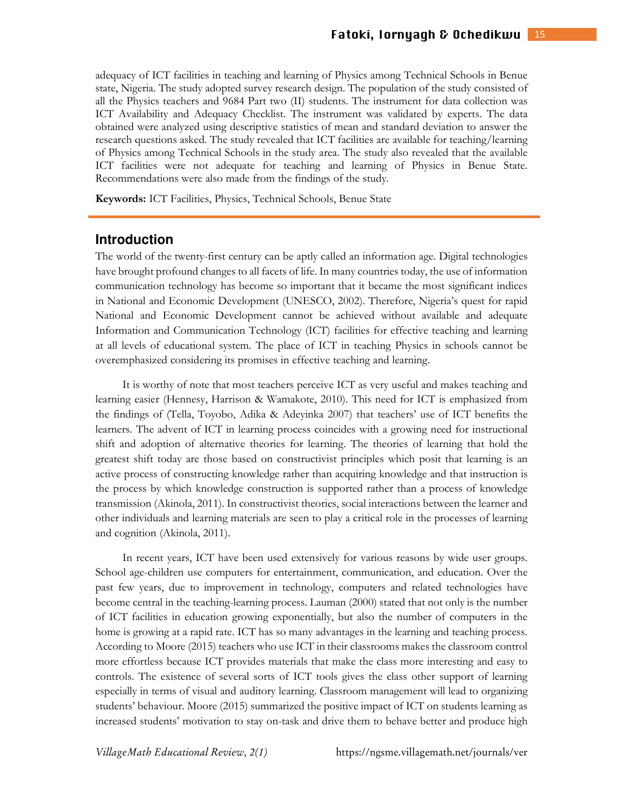adequacy of ICT facilities in teaching and learning of Physics among Technical Schools in Benue state, Nigeria. The study adopted survey research design. The population of the study consisted of all the Physics teachers and 9684 Part two (II) students. The instrument for data collection was ICT Availability and Adequacy Checklist. The instrument was validated by experts. The data obtained were analyzed using descriptive statistics of mean and standard deviation to answer the research questions asked. The study revealed that ICT facilities are available for teaching/learning of Physics among Technical Schools in the study area. The study also revealed that the available ICT facilities were not adequate for teaching and learning of Physics in Benue State. Recommendations were also made from the findings of the study.

**Keywords:** ICT Facilities, Physics, Technical Schools, Benue State

#### **Introduction**

The world of the twenty-first century can be aptly called an information age. Digital technologies have brought profound changes to all facets of life. In many countries today, the use of information communication technology has become so important that it became the most significant indices in National and Economic Development (UNESCO, 2002). Therefore, Nigeria's quest for rapid National and Economic Development cannot be achieved without available and adequate Information and Communication Technology (ICT) facilities for effective teaching and learning at all levels of educational system. The place of ICT in teaching Physics in schools cannot be overemphasized considering its promises in effective teaching and learning.

It is worthy of note that most teachers perceive ICT as very useful and makes teaching and learning easier (Hennesy, Harrison & Wamakote, 2010). This need for ICT is emphasized from the findings of (Tella, Toyobo, Adika & Adeyinka 2007) that teachers' use of ICT benefits the learners. The advent of ICT in learning process coincides with a growing need for instructional shift and adoption of alternative theories for learning. The theories of learning that hold the greatest shift today are those based on constructivist principles which posit that learning is an active process of constructing knowledge rather than acquiring knowledge and that instruction is the process by which knowledge construction is supported rather than a process of knowledge transmission (Akinola, 2011). In constructivist theories, social interactions between the learner and other individuals and learning materials are seen to play a critical role in the processes of learning and cognition (Akinola, 2011).

In recent years, ICT have been used extensively for various reasons by wide user groups. School age-children use computers for entertainment, communication, and education. Over the past few years, due to improvement in technology, computers and related technologies have become central in the teaching-learning process. Lauman (2000) stated that not only is the number of ICT facilities in education growing exponentially, but also the number of computers in the home is growing at a rapid rate. ICT has so many advantages in the learning and teaching process. According to Moore (2015) teachers who use ICT in their classrooms makes the classroom control more effortless because ICT provides materials that make the class more interesting and easy to controls. The existence of several sorts of ICT tools gives the class other support of learning especially in terms of visual and auditory learning. Classroom management will lead to organizing students' behaviour. Moore (2015) summarized the positive impact of ICT on students learning as increased students' motivation to stay on-task and drive them to behave better and produce high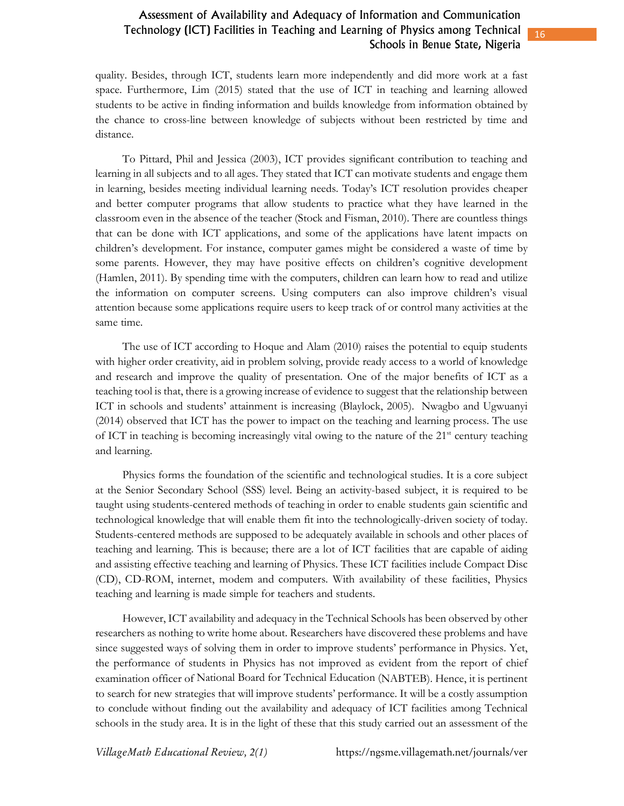### Assessment of Availability and Adequacy of Information and Communication Technology (ICT) Facilities in Teaching and Learning of Physics among Technical Schools in Benue State, Nigeria

quality. Besides, through ICT, students learn more independently and did more work at a fast space. Furthermore, Lim (2015) stated that the use of ICT in teaching and learning allowed students to be active in finding information and builds knowledge from information obtained by the chance to cross-line between knowledge of subjects without been restricted by time and distance.

To Pittard, Phil and Jessica (2003), ICT provides significant contribution to teaching and learning in all subjects and to all ages. They stated that ICT can motivate students and engage them in learning, besides meeting individual learning needs. Today's ICT resolution provides cheaper and better computer programs that allow students to practice what they have learned in the classroom even in the absence of the teacher (Stock and Fisman, 2010). There are countless things that can be done with ICT applications, and some of the applications have latent impacts on children's development. For instance, computer games might be considered a waste of time by some parents. However, they may have positive effects on children's cognitive development (Hamlen, 2011). By spending time with the computers, children can learn how to read and utilize the information on computer screens. Using computers can also improve children's visual attention because some applications require users to keep track of or control many activities at the same time.

The use of ICT according to Hoque and Alam (2010) raises the potential to equip students with higher order creativity, aid in problem solving, provide ready access to a world of knowledge and research and improve the quality of presentation. One of the major benefits of ICT as a teaching tool is that, there is a growing increase of evidence to suggest that the relationship between ICT in schools and students' attainment is increasing (Blaylock, 2005). Nwagbo and Ugwuanyi (2014) observed that ICT has the power to impact on the teaching and learning process. The use of ICT in teaching is becoming increasingly vital owing to the nature of the 21<sup>st</sup> century teaching and learning.

Physics forms the foundation of the scientific and technological studies. It is a core subject at the Senior Secondary School (SSS) level. Being an activity-based subject, it is required to be taught using students-centered methods of teaching in order to enable students gain scientific and technological knowledge that will enable them fit into the technologically-driven society of today. Students-centered methods are supposed to be adequately available in schools and other places of teaching and learning. This is because; there are a lot of ICT facilities that are capable of aiding and assisting effective teaching and learning of Physics. These ICT facilities include Compact Disc (CD), CD-ROM, internet, modem and computers. With availability of these facilities, Physics teaching and learning is made simple for teachers and students.

However, ICT availability and adequacy in the Technical Schools has been observed by other researchers as nothing to write home about. Researchers have discovered these problems and have since suggested ways of solving them in order to improve students' performance in Physics. Yet, the performance of students in Physics has not improved as evident from the report of chief examination officer of National Board for Technical Education (NABTEB). Hence, it is pertinent to search for new strategies that will improve students' performance. It will be a costly assumption to conclude without finding out the availability and adequacy of ICT facilities among Technical schools in the study area. It is in the light of these that this study carried out an assessment of the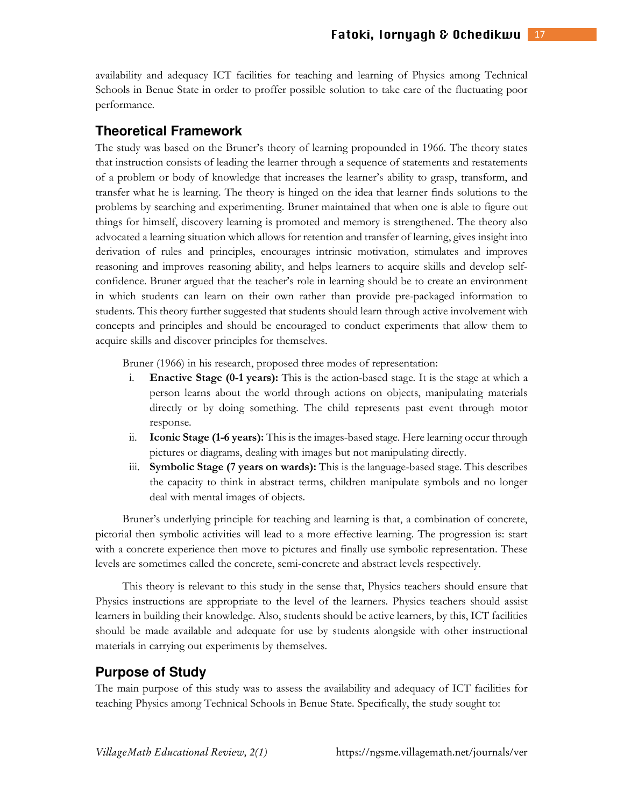availability and adequacy ICT facilities for teaching and learning of Physics among Technical Schools in Benue State in order to proffer possible solution to take care of the fluctuating poor performance.

#### **Theoretical Framework**

The study was based on the Bruner's theory of learning propounded in 1966. The theory states that instruction consists of leading the learner through a sequence of statements and restatements of a problem or body of knowledge that increases the learner's ability to grasp, transform, and transfer what he is learning. The theory is hinged on the idea that learner finds solutions to the problems by searching and experimenting. Bruner maintained that when one is able to figure out things for himself, discovery learning is promoted and memory is strengthened. The theory also advocated a learning situation which allows for retention and transfer of learning, gives insight into derivation of rules and principles, encourages intrinsic motivation, stimulates and improves reasoning and improves reasoning ability, and helps learners to acquire skills and develop selfconfidence. Bruner argued that the teacher's role in learning should be to create an environment in which students can learn on their own rather than provide pre-packaged information to students. This theory further suggested that students should learn through active involvement with concepts and principles and should be encouraged to conduct experiments that allow them to acquire skills and discover principles for themselves.

Bruner (1966) in his research, proposed three modes of representation:

- i. **Enactive Stage (0-1 years):** This is the action-based stage. It is the stage at which a person learns about the world through actions on objects, manipulating materials directly or by doing something. The child represents past event through motor response.
- ii. **Iconic Stage (1-6 years):** This is the images-based stage. Here learning occur through pictures or diagrams, dealing with images but not manipulating directly.
- iii. **Symbolic Stage (7 years on wards):** This is the language-based stage. This describes the capacity to think in abstract terms, children manipulate symbols and no longer deal with mental images of objects.

Bruner's underlying principle for teaching and learning is that, a combination of concrete, pictorial then symbolic activities will lead to a more effective learning. The progression is: start with a concrete experience then move to pictures and finally use symbolic representation. These levels are sometimes called the concrete, semi-concrete and abstract levels respectively.

This theory is relevant to this study in the sense that, Physics teachers should ensure that Physics instructions are appropriate to the level of the learners. Physics teachers should assist learners in building their knowledge. Also, students should be active learners, by this, ICT facilities should be made available and adequate for use by students alongside with other instructional materials in carrying out experiments by themselves.

### **Purpose of Study**

The main purpose of this study was to assess the availability and adequacy of ICT facilities for teaching Physics among Technical Schools in Benue State. Specifically, the study sought to: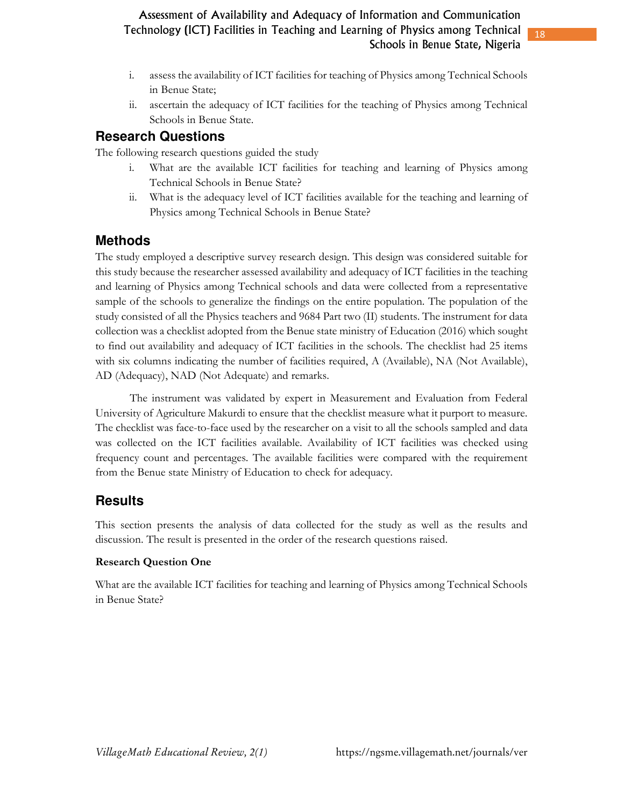- i. assess the availability of ICT facilities for teaching of Physics among Technical Schools in Benue State;
- ii. ascertain the adequacy of ICT facilities for the teaching of Physics among Technical Schools in Benue State.

# **Research Questions**

The following research questions guided the study

- i. What are the available ICT facilities for teaching and learning of Physics among Technical Schools in Benue State?
- ii. What is the adequacy level of ICT facilities available for the teaching and learning of Physics among Technical Schools in Benue State?

# **Methods**

The study employed a descriptive survey research design. This design was considered suitable for this study because the researcher assessed availability and adequacy of ICT facilities in the teaching and learning of Physics among Technical schools and data were collected from a representative sample of the schools to generalize the findings on the entire population. The population of the study consisted of all the Physics teachers and 9684 Part two (II) students. The instrument for data collection was a checklist adopted from the Benue state ministry of Education (2016) which sought to find out availability and adequacy of ICT facilities in the schools. The checklist had 25 items with six columns indicating the number of facilities required, A (Available), NA (Not Available), AD (Adequacy), NAD (Not Adequate) and remarks.

 The instrument was validated by expert in Measurement and Evaluation from Federal University of Agriculture Makurdi to ensure that the checklist measure what it purport to measure. The checklist was face-to-face used by the researcher on a visit to all the schools sampled and data was collected on the ICT facilities available. Availability of ICT facilities was checked using frequency count and percentages. The available facilities were compared with the requirement from the Benue state Ministry of Education to check for adequacy.

# **Results**

This section presents the analysis of data collected for the study as well as the results and discussion. The result is presented in the order of the research questions raised.

### **Research Question One**

What are the available ICT facilities for teaching and learning of Physics among Technical Schools in Benue State?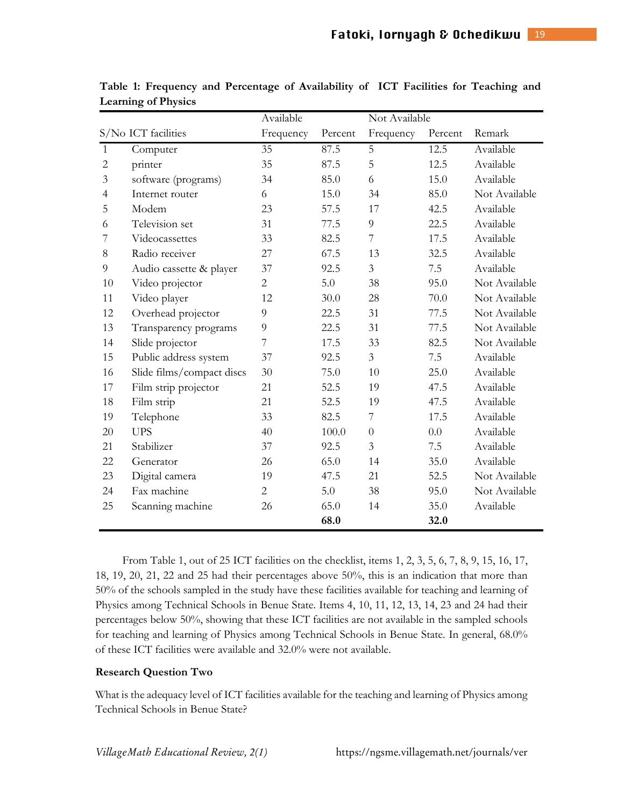|                     |                           | Available      |         | Not Available  |         |               |
|---------------------|---------------------------|----------------|---------|----------------|---------|---------------|
| S/No ICT facilities |                           | Frequency      | Percent | Frequency      | Percent | Remark        |
| $\mathbf{1}$        | Computer                  | 35             | 87.5    | 5              | 12.5    | Available     |
| $\mathbf{2}$        | printer                   | 35             | 87.5    | 5              | 12.5    | Available     |
| 3                   | software (programs)       | 34             | 85.0    | 6              | 15.0    | Available     |
| $\overline{4}$      | Internet router           | 6              | 15.0    | 34             | 85.0    | Not Available |
| 5                   | Modem                     | 23             | 57.5    | 17             | 42.5    | Available     |
| 6                   | Television set            | 31             | 77.5    | $\overline{9}$ | 22.5    | Available     |
| 7                   | Videocassettes            | 33             | 82.5    | $\overline{7}$ | 17.5    | Available     |
| 8                   | Radio receiver            | 27             | 67.5    | 13             | 32.5    | Available     |
| $\overline{9}$      | Audio cassette & player   | 37             | 92.5    | 3              | 7.5     | Available     |
| 10                  | Video projector           | $\overline{2}$ | 5.0     | 38             | 95.0    | Not Available |
| 11                  | Video player              | 12             | 30.0    | 28             | 70.0    | Not Available |
| 12                  | Overhead projector        | 9              | 22.5    | 31             | 77.5    | Not Available |
| 13                  | Transparency programs     | 9              | 22.5    | 31             | 77.5    | Not Available |
| 14                  | Slide projector           | 7              | 17.5    | 33             | 82.5    | Not Available |
| 15                  | Public address system     | 37             | 92.5    | $\mathfrak{Z}$ | 7.5     | Available     |
| 16                  | Slide films/compact discs | 30             | 75.0    | 10             | 25.0    | Available     |
| 17                  | Film strip projector      | 21             | 52.5    | 19             | 47.5    | Available     |
| 18                  | Film strip                | 21             | 52.5    | 19             | 47.5    | Available     |
| 19                  | Telephone                 | 33             | 82.5    | 7              | 17.5    | Available     |
| 20                  | <b>UPS</b>                | 40             | 100.0   | $\theta$       | 0.0     | Available     |
| 21                  | Stabilizer                | 37             | 92.5    | 3              | 7.5     | Available     |
| 22                  | Generator                 | 26             | 65.0    | 14             | 35.0    | Available     |
| 23                  | Digital camera            | 19             | 47.5    | 21             | 52.5    | Not Available |
| 24                  | Fax machine               | $\overline{2}$ | 5.0     | 38             | 95.0    | Not Available |
| 25                  | Scanning machine          | 26             | 65.0    | 14             | 35.0    | Available     |
|                     |                           |                | 68.0    |                | 32.0    |               |

**Table 1: Frequency and Percentage of Availability of ICT Facilities for Teaching and Learning of Physics** 

From Table 1, out of 25 ICT facilities on the checklist, items 1, 2, 3, 5, 6, 7, 8, 9, 15, 16, 17, 18, 19, 20, 21, 22 and 25 had their percentages above 50%, this is an indication that more than 50% of the schools sampled in the study have these facilities available for teaching and learning of Physics among Technical Schools in Benue State. Items 4, 10, 11, 12, 13, 14, 23 and 24 had their percentages below 50%, showing that these ICT facilities are not available in the sampled schools for teaching and learning of Physics among Technical Schools in Benue State. In general, 68.0% of these ICT facilities were available and 32.0% were not available.

#### **Research Question Two**

What is the adequacy level of ICT facilities available for the teaching and learning of Physics among Technical Schools in Benue State?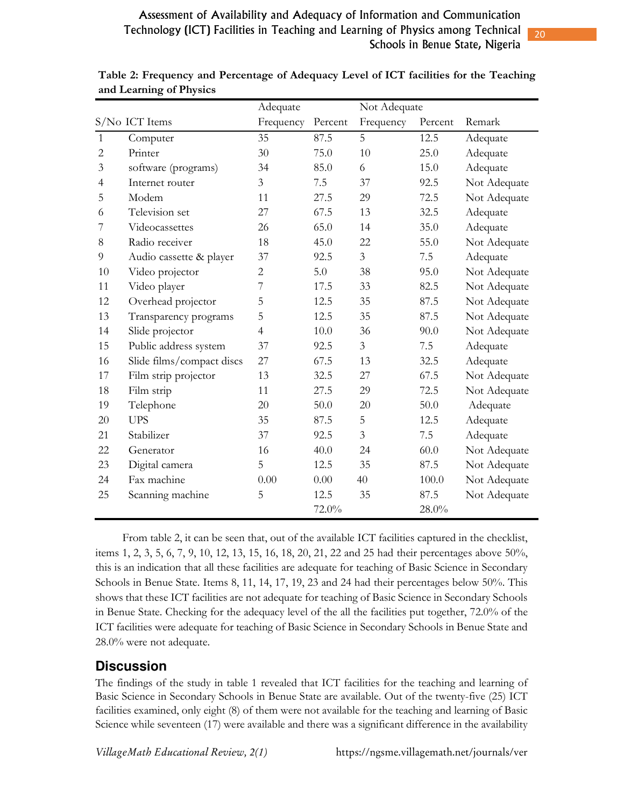|                |                           | Adequate       |         | Not Adequate   |         |              |
|----------------|---------------------------|----------------|---------|----------------|---------|--------------|
|                | S/No ICT Items            | Frequency      | Percent | Frequency      | Percent | Remark       |
| $\mathbf{1}$   | Computer                  | 35             | 87.5    | 5              | 12.5    | Adequate     |
| $\overline{c}$ | Printer                   | 30             | 75.0    | 10             | 25.0    | Adequate     |
| $\mathfrak{Z}$ | software (programs)       | 34             | 85.0    | 6              | 15.0    | Adequate     |
| $\overline{4}$ | Internet router           | 3              | 7.5     | 37             | 92.5    | Not Adequate |
| 5              | Modem                     | 11             | 27.5    | 29             | 72.5    | Not Adequate |
| 6              | Television set            | 27             | 67.5    | 13             | 32.5    | Adequate     |
| 7              | Videocassettes            | 26             | 65.0    | 14             | 35.0    | Adequate     |
| 8              | Radio receiver            | 18             | 45.0    | 22             | 55.0    | Not Adequate |
| 9              | Audio cassette & player   | 37             | 92.5    | $\overline{3}$ | 7.5     | Adequate     |
| 10             | Video projector           | $\overline{2}$ | 5.0     | 38             | 95.0    | Not Adequate |
| 11             | Video player              | 7              | 17.5    | 33             | 82.5    | Not Adequate |
| 12             | Overhead projector        | 5              | 12.5    | 35             | 87.5    | Not Adequate |
| 13             | Transparency programs     | 5              | 12.5    | 35             | 87.5    | Not Adequate |
| 14             | Slide projector           | 4              | 10.0    | 36             | 90.0    | Not Adequate |
| 15             | Public address system     | 37             | 92.5    | 3              | 7.5     | Adequate     |
| 16             | Slide films/compact discs | 27             | 67.5    | 13             | 32.5    | Adequate     |
| 17             | Film strip projector      | 13             | 32.5    | 27             | 67.5    | Not Adequate |
| 18             | Film strip                | 11             | 27.5    | 29             | 72.5    | Not Adequate |
| 19             | Telephone                 | 20             | 50.0    | 20             | 50.0    | Adequate     |
| 20             | <b>UPS</b>                | 35             | 87.5    | 5              | 12.5    | Adequate     |
| 21             | Stabilizer                | 37             | 92.5    | 3              | 7.5     | Adequate     |
| 22             | Generator                 | 16             | 40.0    | 24             | 60.0    | Not Adequate |
| 23             | Digital camera            | 5              | 12.5    | 35             | 87.5    | Not Adequate |
| 24             | Fax machine               | 0.00           | 0.00    | 40             | 100.0   | Not Adequate |
| 25             | Scanning machine          | 5              | 12.5    | 35             | 87.5    | Not Adequate |
|                |                           |                | 72.0%   |                | 28.0%   |              |

**Table 2: Frequency and Percentage of Adequacy Level of ICT facilities for the Teaching and Learning of Physics** 

From table 2, it can be seen that, out of the available ICT facilities captured in the checklist, items 1, 2, 3, 5, 6, 7, 9, 10, 12, 13, 15, 16, 18, 20, 21, 22 and 25 had their percentages above 50%, this is an indication that all these facilities are adequate for teaching of Basic Science in Secondary Schools in Benue State. Items 8, 11, 14, 17, 19, 23 and 24 had their percentages below 50%. This shows that these ICT facilities are not adequate for teaching of Basic Science in Secondary Schools in Benue State. Checking for the adequacy level of the all the facilities put together, 72.0% of the ICT facilities were adequate for teaching of Basic Science in Secondary Schools in Benue State and 28.0% were not adequate.

### **Discussion**

The findings of the study in table 1 revealed that ICT facilities for the teaching and learning of Basic Science in Secondary Schools in Benue State are available. Out of the twenty-five (25) ICT facilities examined, only eight (8) of them were not available for the teaching and learning of Basic Science while seventeen (17) were available and there was a significant difference in the availability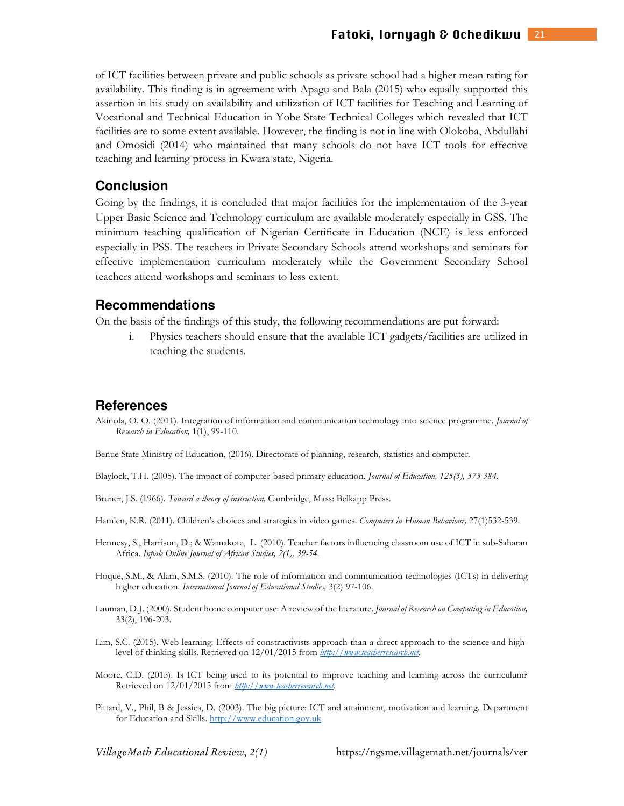of ICT facilities between private and public schools as private school had a higher mean rating for availability. This finding is in agreement with Apagu and Bala (2015) who equally supported this assertion in his study on availability and utilization of ICT facilities for Teaching and Learning of Vocational and Technical Education in Yobe State Technical Colleges which revealed that ICT facilities are to some extent available. However, the finding is not in line with Olokoba, Abdullahi and Omosidi (2014) who maintained that many schools do not have ICT tools for effective teaching and learning process in Kwara state, Nigeria.

#### **Conclusion**

Going by the findings, it is concluded that major facilities for the implementation of the 3-year Upper Basic Science and Technology curriculum are available moderately especially in GSS. The minimum teaching qualification of Nigerian Certificate in Education (NCE) is less enforced especially in PSS. The teachers in Private Secondary Schools attend workshops and seminars for effective implementation curriculum moderately while the Government Secondary School teachers attend workshops and seminars to less extent.

#### **Recommendations**

On the basis of the findings of this study, the following recommendations are put forward:

i. Physics teachers should ensure that the available ICT gadgets/facilities are utilized in teaching the students.

#### **References**

Akinola, O. O. (2011). Integration of information and communication technology into science programme. *Journal of Research in Education,* 1(1), 99-110.

Benue State Ministry of Education, (2016). Directorate of planning, research, statistics and computer.

Blaylock, T.H. (2005). The impact of computer-based primary education. *Journal of Education, 125(3), 373-384.* 

Bruner, J.S. (1966). *Toward a theory of instruction.* Cambridge, Mass: Belkapp Press.

Hamlen, K.R. (2011). Children's choices and strategies in video games. *Computers in Human Behaviour,* 27(1)532-539.

- Hennesy, S., Harrison, D.; & Wamakote, L. (2010). Teacher factors influencing classroom use of ICT in sub-Saharan Africa. *Inpale Online Journal of African Studies, 2(1), 39-54*.
- Hoque, S.M., & Alam, S.M.S. (2010). The role of information and communication technologies (ICTs) in delivering higher education. *International Journal of Educational Studies,* 3(2) 97-106.
- Lauman, D.J. (2000). Student home computer use: A review of the literature. *Journal of Research on Computing in Education,*  33(2), 196-203.
- Lim, S.C. (2015). Web learning: Effects of constructivists approach than a direct approach to the science and highlevel of thinking skills. Retrieved on 12/01/2015 from *http://www.teacherresearch.net.*
- Moore, C.D. (2015). Is ICT being used to its potential to improve teaching and learning across the curriculum? Retrieved on 12/01/2015 from *http://www.teacherresearch.net.*
- Pittard, V., Phil, B & Jessica, D. (2003). The big picture: ICT and attainment, motivation and learning. Department for Education and Skills. http://www.education.gov.uk